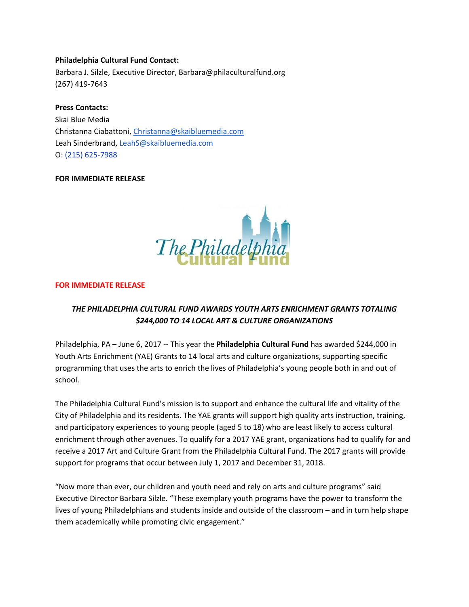#### **Philadelphia Cultural Fund Contact:**

Barbara J. Silzle, Executive Director, Barbara@philaculturalfund.org (267) 419-7643

#### **Press Contacts:**

Skai Blue Media Christanna Ciabattoni, [Christanna@skaibluemedia.com](mailto:Christanna@skaibluemedia.com) Leah Sinderbrand, [LeahS@skaibluemedia.com](mailto:Leahs@skaibluemedia.com)  O: (215) 625-7988

#### **FOR IMMEDIATE RELEASE**



#### **FOR IMMEDIATE RELEASE**

# *THE PHILADELPHIA CULTURAL FUND AWARDS YOUTH ARTS ENRICHMENT GRANTS TOTALING \$244,000 TO 14 LOCAL ART & CULTURE ORGANIZATIONS*

Philadelphia, PA – June 6, 2017 -- This year the **Philadelphia Cultural Fund** has awarded \$244,000 in Youth Arts Enrichment (YAE) Grants to 14 local arts and culture organizations, supporting specific programming that uses the arts to enrich the lives of Philadelphia's young people both in and out of school.

The Philadelphia Cultural Fund's mission is to support and enhance the cultural life and vitality of the City of Philadelphia and its residents. The YAE grants will support high quality arts instruction, training, and participatory experiences to young people (aged 5 to 18) who are least likely to access cultural enrichment through other avenues. To qualify for a 2017 YAE grant, organizations had to qualify for and receive a 2017 Art and Culture Grant from the Philadelphia Cultural Fund. The 2017 grants will provide support for programs that occur between July 1, 2017 and December 31, 2018.

"Now more than ever, our children and youth need and rely on arts and culture programs" said Executive Director Barbara Silzle. "These exemplary youth programs have the power to transform the lives of young Philadelphians and students inside and outside of the classroom – and in turn help shape them academically while promoting civic engagement."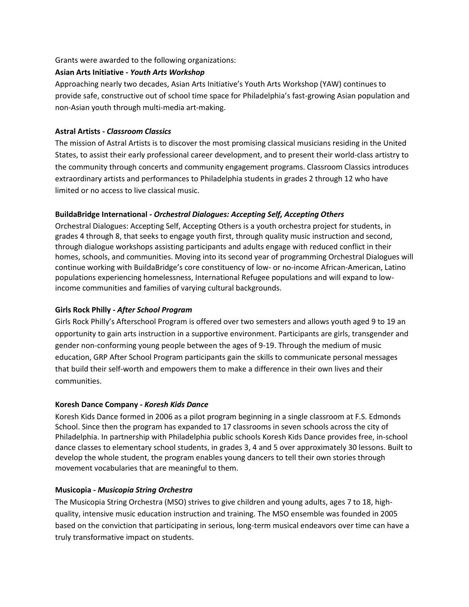Grants were awarded to the following organizations:

## **Asian Arts Initiative -** *Youth Arts Workshop*

Approaching nearly two decades, Asian Arts Initiative's Youth Arts Workshop (YAW) continues to provide safe, constructive out of school time space for Philadelphia's fast-growing Asian population and non-Asian youth through multi-media art-making.

## **Astral Artists -** *Classroom Classics*

The mission of Astral Artists is to discover the most promising classical musicians residing in the United States, to assist their early professional career development, and to present their world-class artistry to the community through concerts and community engagement programs. Classroom Classics introduces extraordinary artists and performances to Philadelphia students in grades 2 through 12 who have limited or no access to live classical music.

## **BuildaBridge International -** *Orchestral Dialogues: Accepting Self, Accepting Others*

Orchestral Dialogues: Accepting Self, Accepting Others is a youth orchestra project for students, in grades 4 through 8, that seeks to engage youth first, through quality music instruction and second, through dialogue workshops assisting participants and adults engage with reduced conflict in their homes, schools, and communities. Moving into its second year of programming Orchestral Dialogues will continue working with BuildaBridge's core constituency of low- or no-income African-American, Latino populations experiencing homelessness, International Refugee populations and will expand to lowincome communities and families of varying cultural backgrounds.

# **Girls Rock Philly -** *After School Program*

Girls Rock Philly's Afterschool Program is offered over two semesters and allows youth aged 9 to 19 an opportunity to gain arts instruction in a supportive environment. Participants are girls, transgender and gender non-conforming young people between the ages of 9-19. Through the medium of music education, GRP After School Program participants gain the skills to communicate personal messages that build their self-worth and empowers them to make a difference in their own lives and their communities.

# **Koresh Dance Company -** *Koresh Kids Dance*

Koresh Kids Dance formed in 2006 as a pilot program beginning in a single classroom at F.S. Edmonds School. Since then the program has expanded to 17 classrooms in seven schools across the city of Philadelphia. In partnership with Philadelphia public schools Koresh Kids Dance provides free, in-school dance classes to elementary school students, in grades 3, 4 and 5 over approximately 30 lessons. Built to develop the whole student, the program enables young dancers to tell their own stories through movement vocabularies that are meaningful to them.

## **Musicopia -** *Musicopia String Orchestra*

The Musicopia String Orchestra (MSO) strives to give children and young adults, ages 7 to 18, highquality, intensive music education instruction and training. The MSO ensemble was founded in 2005 based on the conviction that participating in serious, long-term musical endeavors over time can have a truly transformative impact on students.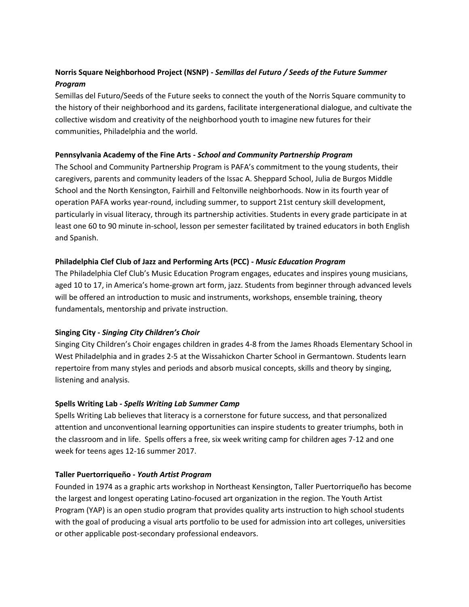# **Norris Square Neighborhood Project (NSNP) -** *Semillas del Futuro / Seeds of the Future Summer Program*

Semillas del Futuro/Seeds of the Future seeks to connect the youth of the Norris Square community to the history of their neighborhood and its gardens, facilitate intergenerational dialogue, and cultivate the collective wisdom and creativity of the neighborhood youth to imagine new futures for their communities, Philadelphia and the world.

## **Pennsylvania Academy of the Fine Arts -** *School and Community Partnership Program*

The School and Community Partnership Program is PAFA's commitment to the young students, their caregivers, parents and community leaders of the Issac A. Sheppard School, Julia de Burgos Middle School and the North Kensington, Fairhill and Feltonville neighborhoods. Now in its fourth year of operation PAFA works year-round, including summer, to support 21st century skill development, particularly in visual literacy, through its partnership activities. Students in every grade participate in at least one 60 to 90 minute in-school, lesson per semester facilitated by trained educators in both English and Spanish.

## **Philadelphia Clef Club of Jazz and Performing Arts (PCC) -** *Music Education Program*

The Philadelphia Clef Club's Music Education Program engages, educates and inspires young musicians, aged 10 to 17, in America's home-grown art form, jazz. Students from beginner through advanced levels will be offered an introduction to music and instruments, workshops, ensemble training, theory fundamentals, mentorship and private instruction.

## **Singing City -** *Singing City Children's Choir*

Singing City Children's Choir engages children in grades 4-8 from the James Rhoads Elementary School in West Philadelphia and in grades 2-5 at the Wissahickon Charter School in Germantown. Students learn repertoire from many styles and periods and absorb musical concepts, skills and theory by singing, listening and analysis.

## **Spells Writing Lab -** *Spells Writing Lab Summer Camp*

Spells Writing Lab believes that literacy is a cornerstone for future success, and that personalized attention and unconventional learning opportunities can inspire students to greater triumphs, both in the classroom and in life. Spells offers a free, six week writing camp for children ages 7-12 and one week for teens ages 12-16 summer 2017.

## **Taller Puertorriqueño -** *Youth Artist Program*

Founded in 1974 as a graphic arts workshop in Northeast Kensington, Taller Puertorriqueño has become the largest and longest operating Latino-focused art organization in the region. The Youth Artist Program (YAP) is an open studio program that provides quality arts instruction to high school students with the goal of producing a visual arts portfolio to be used for admission into art colleges, universities or other applicable post-secondary professional endeavors.